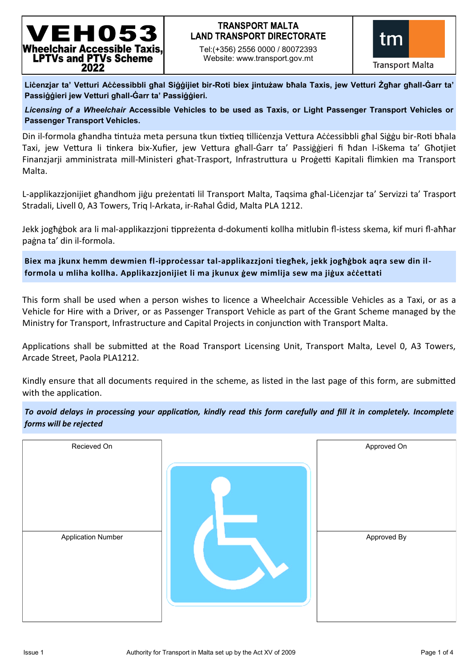## EH053 Wheelchair Accessible Taxis. **LPTVs and PTVs Scheme** 2022

### **TRANSPORT MALTA LAND TRANSPORT DIRECTORATE**

Tel:(+356) 2556 0000 / 80072393 Website: www.transport.gov.mt



**Liċenzjar ta' Vetturi Aċċessibbli għal Siġġijiet bir-Roti biex jintużaw bħala Taxis, jew Vetturi Żgħar għall-Ġarr ta' Passiġġieri jew Vetturi għall-Ġarr ta' Passiġġieri.**

*Licensing of a Wheelchair* **Accessible Vehicles to be used as Taxis, or Light Passenger Transport Vehicles or Passenger Transport Vehicles.** 

Din il-formola għandha tintuża meta persuna tkun tixtieq tilliċenzja Vettura Aċċessibbli għal Siġġu bir-Roti bħala Taxi, jew Vettura li tinkera bix-Xufier, jew Vettura għall-Ġarr ta' Passiġġieri fi ħdan l-iSkema ta' Għotjiet Finanzjarji amministrata mill-Ministeri għat-Trasport, Infrastruttura u Proġetti Kapitali flimkien ma Transport Malta.

L-applikazzjonijiet għandhom jiġu preżentati lil Transport Malta, Taqsima għal-Liċenzjar ta' Servizzi ta' Trasport Stradali, Livell 0, A3 Towers, Triq l-Arkata, ir-Raħal Ġdid, Malta PLA 1212.

Jekk jogħġbok ara li mal-applikazzjoni tippreżenta d-dokumenti kollha mitlubin fl-istess skema, kif muri fl-aħħar paġna ta' din il-formola.

**Biex ma jkunx hemm dewmien fl-ipproċessar tal-applikazzjoni tiegħek, jekk jogħġbok aqra sew din ilformola u mliha kollha. Applikazzjonijiet li ma jkunux ġew mimlija sew ma jiġux aċċettati**

This form shall be used when a person wishes to licence a Wheelchair Accessible Vehicles as a Taxi, or as a Vehicle for Hire with a Driver, or as Passenger Transport Vehicle as part of the Grant Scheme managed by the Ministry for Transport, Infrastructure and Capital Projects in conjunction with Transport Malta.

Applications shall be submitted at the Road Transport Licensing Unit, Transport Malta, Level 0, A3 Towers, Arcade Street, Paola PLA1212.

Kindly ensure that all documents required in the scheme, as listed in the last page of this form, are submitted with the application.

| To avoid delays in processing your application, kindly read this form carefully and fill it in completely. Incomplete |  |  |  |  |
|-----------------------------------------------------------------------------------------------------------------------|--|--|--|--|
| forms will be rejected                                                                                                |  |  |  |  |

| Recieved On               | Approved On |
|---------------------------|-------------|
| <b>Application Number</b> | Approved By |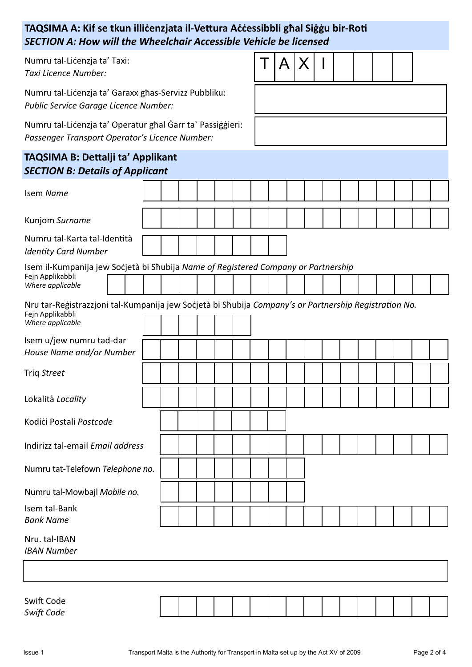## **TAQSIMA A: Kif se tkun illiċenzjata il-Vettura Aċċessibbli għal Siġġu bir-Roti** *SECTION A: How will the Wheelchair Accessible Vehicle be licensed*

Numru tal-Liċenzja ta' Taxi: *Taxi Licence Number:*

Numru tal-Liċenzja ta' Garaxx għas-Servizz Pubbliku: *Public Service Garage Licence Number:*

Numru tal-Liċenzja ta' Operatur għal Ġarr ta` Passiġġieri: *Passenger Transport Operator's Licence Number:*

# **TAQSIMA B: Dettalji ta' Applikant**

|  | $T A X _1$ |  |  |  |
|--|------------|--|--|--|
|  |            |  |  |  |

| <b>INGUIVING</b> . Dettaiji ta Applikalit<br><b>SECTION B: Details of Applicant</b>                                                           |  |  |  |  |  |  |  |  |  |  |  |  |  |  |  |  |
|-----------------------------------------------------------------------------------------------------------------------------------------------|--|--|--|--|--|--|--|--|--|--|--|--|--|--|--|--|
| Isem Name                                                                                                                                     |  |  |  |  |  |  |  |  |  |  |  |  |  |  |  |  |
| Kunjom Surname                                                                                                                                |  |  |  |  |  |  |  |  |  |  |  |  |  |  |  |  |
| Numru tal-Karta tal-Identità<br><b>Identity Card Number</b>                                                                                   |  |  |  |  |  |  |  |  |  |  |  |  |  |  |  |  |
| Isem il-Kumpanija jew Socjetà bi Shubija Name of Registered Company or Partnership<br>Fejn Applikabbli<br>Where applicable                    |  |  |  |  |  |  |  |  |  |  |  |  |  |  |  |  |
| Nru tar-Registrazzjoni tal-Kumpanija jew Socjetà bi Shubija Company's or Partnership Registration No.<br>Fejn Applikabbli<br>Where applicable |  |  |  |  |  |  |  |  |  |  |  |  |  |  |  |  |
| Isem u/jew numru tad-dar<br>House Name and/or Number                                                                                          |  |  |  |  |  |  |  |  |  |  |  |  |  |  |  |  |
| Triq Street                                                                                                                                   |  |  |  |  |  |  |  |  |  |  |  |  |  |  |  |  |
| Lokalità Locality                                                                                                                             |  |  |  |  |  |  |  |  |  |  |  |  |  |  |  |  |
| Kodići Postali Postcode                                                                                                                       |  |  |  |  |  |  |  |  |  |  |  |  |  |  |  |  |
| Indirizz tal-email Email address                                                                                                              |  |  |  |  |  |  |  |  |  |  |  |  |  |  |  |  |
| Numru tat-Telefown Telephone no.                                                                                                              |  |  |  |  |  |  |  |  |  |  |  |  |  |  |  |  |
| Numru tal-Mowbajl Mobile no.                                                                                                                  |  |  |  |  |  |  |  |  |  |  |  |  |  |  |  |  |
| Isem tal-Bank<br><b>Bank Name</b>                                                                                                             |  |  |  |  |  |  |  |  |  |  |  |  |  |  |  |  |
| Nru. tal-IBAN<br><b>IBAN Number</b>                                                                                                           |  |  |  |  |  |  |  |  |  |  |  |  |  |  |  |  |
|                                                                                                                                               |  |  |  |  |  |  |  |  |  |  |  |  |  |  |  |  |

| Swift Code |  |  |  |  |  |  |  |  |
|------------|--|--|--|--|--|--|--|--|
| Swift Code |  |  |  |  |  |  |  |  |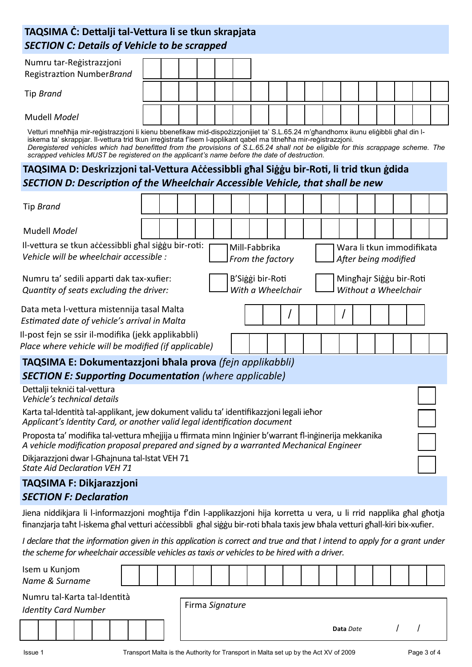## **TAQSIMA Ċ: Dettalji tal-Vettura li se tkun skrapjata** *SECTION C: Details of Vehicle to be scrapped*

| <b>SECTION C: Details of Vehicle to be scrapped</b>                                                                                                                                                                                                                                                                                                                                                                                                                                         |                                                                                                                                                                                  |  |  |  |  |  |  |  |  |  |  |  |  |  |  |  |
|---------------------------------------------------------------------------------------------------------------------------------------------------------------------------------------------------------------------------------------------------------------------------------------------------------------------------------------------------------------------------------------------------------------------------------------------------------------------------------------------|----------------------------------------------------------------------------------------------------------------------------------------------------------------------------------|--|--|--|--|--|--|--|--|--|--|--|--|--|--|--|
| Numru tar-Registrazzjoni<br>Registraztion NumberBrand                                                                                                                                                                                                                                                                                                                                                                                                                                       |                                                                                                                                                                                  |  |  |  |  |  |  |  |  |  |  |  |  |  |  |  |
| Tip Brand                                                                                                                                                                                                                                                                                                                                                                                                                                                                                   |                                                                                                                                                                                  |  |  |  |  |  |  |  |  |  |  |  |  |  |  |  |
| Mudell <i>Model</i>                                                                                                                                                                                                                                                                                                                                                                                                                                                                         |                                                                                                                                                                                  |  |  |  |  |  |  |  |  |  |  |  |  |  |  |  |
| Vetturi mneħħija mir-reģistrazzjoni li kienu bbenefikaw mid-dispożizzjonijiet ta' S.L.65.24 m'għandhomx ikunu eliģibbli għal din l-<br>iskema ta' skrappjar. Il-vettura trid tkun irreģistrata f'isem l-applikant qabel ma titneħħa mir-reģistrazzjoni.<br>Deregistered vehicles which had benefitted from the provisions of S.L.65.24 shall not be eligible for this scrappage scheme. The<br>scrapped vehicles MUST be registered on the applicant's name before the date of destruction. |                                                                                                                                                                                  |  |  |  |  |  |  |  |  |  |  |  |  |  |  |  |
|                                                                                                                                                                                                                                                                                                                                                                                                                                                                                             | TAQSIMA D: Deskrizzjoni tal-Vettura Accessibbli ghal Siggu bir-Roti, li trid tkun gdida<br><b>SECTION D: Description of the Wheelchair Accessible Vehicle, that shall be new</b> |  |  |  |  |  |  |  |  |  |  |  |  |  |  |  |
|                                                                                                                                                                                                                                                                                                                                                                                                                                                                                             |                                                                                                                                                                                  |  |  |  |  |  |  |  |  |  |  |  |  |  |  |  |
| Tip Brand                                                                                                                                                                                                                                                                                                                                                                                                                                                                                   |                                                                                                                                                                                  |  |  |  |  |  |  |  |  |  |  |  |  |  |  |  |
| Mudell Model                                                                                                                                                                                                                                                                                                                                                                                                                                                                                |                                                                                                                                                                                  |  |  |  |  |  |  |  |  |  |  |  |  |  |  |  |
| Il-vettura se tkun accessibbli ghal siggu bir-roti:<br>Mill-Fabbrika<br>Wara li tkun immodifikata<br>Vehicle will be wheelchair accessible :<br>From the factory<br>After being modified                                                                                                                                                                                                                                                                                                    |                                                                                                                                                                                  |  |  |  |  |  |  |  |  |  |  |  |  |  |  |  |
| Numru ta' sedili apparti dak tax-xufier:<br>B'Siggi bir-Roti<br>Minghajr Siggu bir-Roti<br>With a Wheelchair<br>Quantity of seats excluding the driver:<br>Without a Wheelchair                                                                                                                                                                                                                                                                                                             |                                                                                                                                                                                  |  |  |  |  |  |  |  |  |  |  |  |  |  |  |  |
|                                                                                                                                                                                                                                                                                                                                                                                                                                                                                             | Data meta l-vettura mistennija tasal Malta<br>I<br>Estimated date of vehicle's arrival in Malta                                                                                  |  |  |  |  |  |  |  |  |  |  |  |  |  |  |  |
| Il-post fejn se ssir il-modifika (jekk applikabbli)<br>Place where vehicle will be modified (if applicable)                                                                                                                                                                                                                                                                                                                                                                                 |                                                                                                                                                                                  |  |  |  |  |  |  |  |  |  |  |  |  |  |  |  |
| TAQSIMA E: Dokumentazzjoni bhala prova (fejn applikabbli)                                                                                                                                                                                                                                                                                                                                                                                                                                   |                                                                                                                                                                                  |  |  |  |  |  |  |  |  |  |  |  |  |  |  |  |
| <b>SECTION E: Supporting Documentation (where applicable)</b>                                                                                                                                                                                                                                                                                                                                                                                                                               |                                                                                                                                                                                  |  |  |  |  |  |  |  |  |  |  |  |  |  |  |  |
| Dettalji teknići tal-vettura<br>Vehicle's technical details                                                                                                                                                                                                                                                                                                                                                                                                                                 |                                                                                                                                                                                  |  |  |  |  |  |  |  |  |  |  |  |  |  |  |  |
| Karta tal-Identità tal-applikant, jew dokument validu ta' identifikazzjoni legali iehor<br>Applicant's Identity Card, or another valid legal identification document                                                                                                                                                                                                                                                                                                                        |                                                                                                                                                                                  |  |  |  |  |  |  |  |  |  |  |  |  |  |  |  |
| Proposta ta' modifika tal-vettura mħejjija u ffirmata minn Inginier b'warrant fl-inginerija mekkanika<br>A vehicle modification proposal prepared and signed by a warranted Mechanical Engineer                                                                                                                                                                                                                                                                                             |                                                                                                                                                                                  |  |  |  |  |  |  |  |  |  |  |  |  |  |  |  |
| Dikjarazzjoni dwar l-Ghajnuna tal-Istat VEH 71<br><b>State Aid Declaration VEH 71</b>                                                                                                                                                                                                                                                                                                                                                                                                       |                                                                                                                                                                                  |  |  |  |  |  |  |  |  |  |  |  |  |  |  |  |
| <b>TAQSIMA F: Dikjarazzjoni</b>                                                                                                                                                                                                                                                                                                                                                                                                                                                             |                                                                                                                                                                                  |  |  |  |  |  |  |  |  |  |  |  |  |  |  |  |
| <b>SECTION F: Declaration</b>                                                                                                                                                                                                                                                                                                                                                                                                                                                               |                                                                                                                                                                                  |  |  |  |  |  |  |  |  |  |  |  |  |  |  |  |

Jiena niddikjara li l-informazzjoni mogħtija f'din l-applikazzjoni hija korretta u vera, u li rrid napplika għal għotja finanzjarja taħt l-iskema għal vetturi aċċessibbli għal siġġu bir-roti bħala taxis jew bħala vetturi għall-kiri bix-xufier.

*I declare that the information given in this application is correct and true and that I intend to apply for a grant under the scheme for wheelchair accessible vehicles as taxis or vehicles to be hired with a driver.*

| Isem u Kunjom<br>Name & Surname                             |  |  |  |  |  |  |  |  |  |                 |  |  |  |           |  |  |  |
|-------------------------------------------------------------|--|--|--|--|--|--|--|--|--|-----------------|--|--|--|-----------|--|--|--|
| Numru tal-Karta tal-Identità<br><b>Identity Card Number</b> |  |  |  |  |  |  |  |  |  | Firma Signature |  |  |  |           |  |  |  |
|                                                             |  |  |  |  |  |  |  |  |  |                 |  |  |  | Data Date |  |  |  |